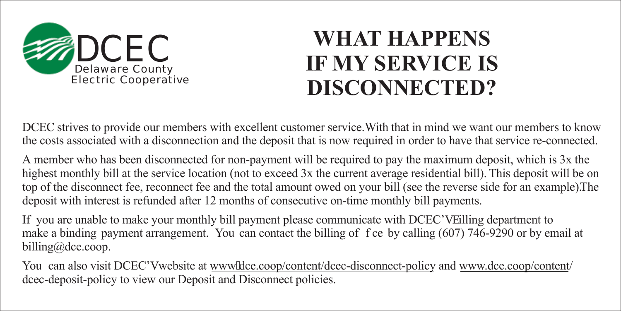

## **WHAT HAPPENS IF MY SERVICE IS DISCONNECTED?**

DCEC strives to provide our members with excellent customer service. With that in mind we want our members to know the costs associated with a disconnection and the deposit that is now required in order to have that service re-connected.

A member who has been disconnected for non-payment will be required to pay the maximum deposit, which is 3x the highest monthly bill at the service location (not to exceed 3x the current average residential bill). This deposit will be on top of the disconnect fee, reconnect fee and the total amount owed on your bill (see the reverse side for an example). The deposit with interest is refunded after 12 months of consecutive on-time monthly bill payments.

If you are unable to make your monthly bill payment please communicate with DCEC'u dilling department to make a binding payment arrangement. You can contact the billing of f ce by calling (607) 746-9290 or by email at billing@dce.coop.

You can also visit DCEC'u website at www.olde.coop/content/dcec-disconnect-policy and www.dce.coop/content/ dcec-deposit-policy to view our Deposit and Disconnect policies.